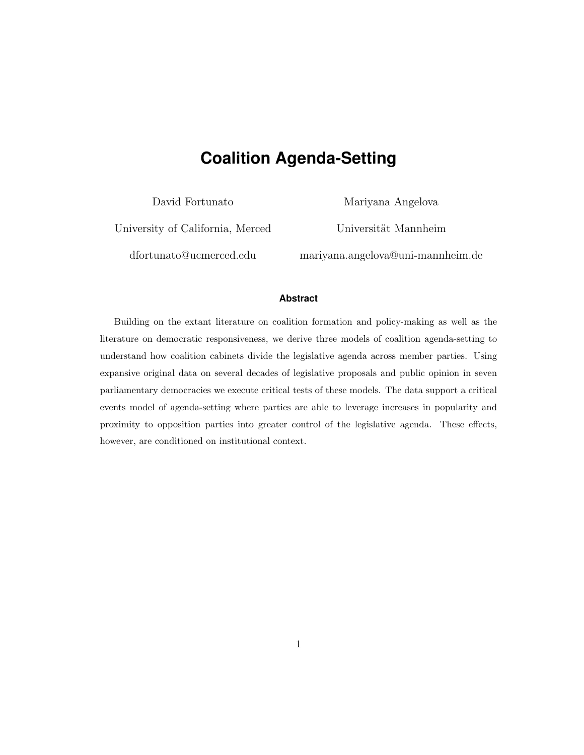# **Coalition Agenda-Setting**

David Fortunato

Mariyana Angelova

University of California, Merced <dfortunato@ucmerced.edu>

Universität Mannheim

<mariyana.angelova@uni-mannheim.de>

### **Abstract**

Building on the extant literature on coalition formation and policy-making as well as the literature on democratic responsiveness, we derive three models of coalition agenda-setting to understand how coalition cabinets divide the legislative agenda across member parties. Using expansive original data on several decades of legislative proposals and public opinion in seven parliamentary democracies we execute critical tests of these models. The data support a critical events model of agenda-setting where parties are able to leverage increases in popularity and proximity to opposition parties into greater control of the legislative agenda. These effects, however, are conditioned on institutional context.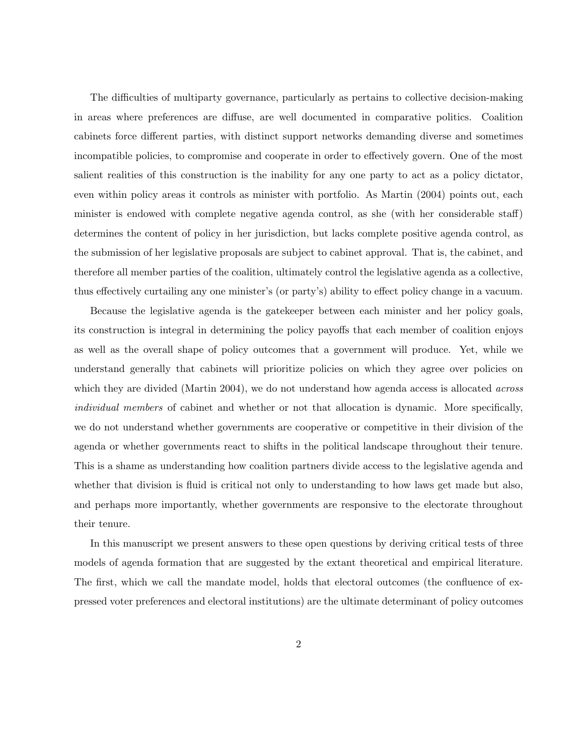The difficulties of multiparty governance, particularly as pertains to collective decision-making in areas where preferences are diffuse, are well documented in comparative politics. Coalition cabinets force different parties, with distinct support networks demanding diverse and sometimes incompatible policies, to compromise and cooperate in order to effectively govern. One of the most salient realities of this construction is the inability for any one party to act as a policy dictator, even within policy areas it controls as minister with portfolio. As Martin (2004) points out, each minister is endowed with complete negative agenda control, as she (with her considerable staff) determines the content of policy in her jurisdiction, but lacks complete positive agenda control, as the submission of her legislative proposals are subject to cabinet approval. That is, the cabinet, and therefore all member parties of the coalition, ultimately control the legislative agenda as a collective, thus effectively curtailing any one minister's (or party's) ability to effect policy change in a vacuum.

Because the legislative agenda is the gatekeeper between each minister and her policy goals, its construction is integral in determining the policy payoffs that each member of coalition enjoys as well as the overall shape of policy outcomes that a government will produce. Yet, while we understand generally that cabinets will prioritize policies on which they agree over policies on which they are divided (Martin 2004), we do not understand how agenda access is allocated *across* individual members of cabinet and whether or not that allocation is dynamic. More specifically, we do not understand whether governments are cooperative or competitive in their division of the agenda or whether governments react to shifts in the political landscape throughout their tenure. This is a shame as understanding how coalition partners divide access to the legislative agenda and whether that division is fluid is critical not only to understanding to how laws get made but also, and perhaps more importantly, whether governments are responsive to the electorate throughout their tenure.

In this manuscript we present answers to these open questions by deriving critical tests of three models of agenda formation that are suggested by the extant theoretical and empirical literature. The first, which we call the mandate model, holds that electoral outcomes (the confluence of expressed voter preferences and electoral institutions) are the ultimate determinant of policy outcomes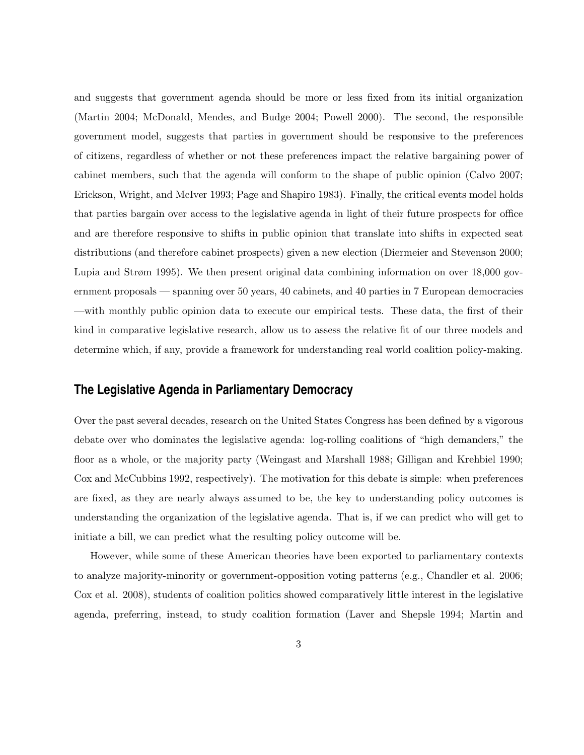and suggests that government agenda should be more or less fixed from its initial organization (Martin 2004; McDonald, Mendes, and Budge 2004; Powell 2000). The second, the responsible government model, suggests that parties in government should be responsive to the preferences of citizens, regardless of whether or not these preferences impact the relative bargaining power of cabinet members, such that the agenda will conform to the shape of public opinion (Calvo 2007; Erickson, Wright, and McIver 1993; Page and Shapiro 1983). Finally, the critical events model holds that parties bargain over access to the legislative agenda in light of their future prospects for office and are therefore responsive to shifts in public opinion that translate into shifts in expected seat distributions (and therefore cabinet prospects) given a new election (Diermeier and Stevenson 2000; Lupia and Strøm 1995). We then present original data combining information on over 18,000 government proposals — spanning over 50 years, 40 cabinets, and 40 parties in 7 European democracies —with monthly public opinion data to execute our empirical tests. These data, the first of their kind in comparative legislative research, allow us to assess the relative fit of our three models and determine which, if any, provide a framework for understanding real world coalition policy-making.

# **The Legislative Agenda in Parliamentary Democracy**

Over the past several decades, research on the United States Congress has been defined by a vigorous debate over who dominates the legislative agenda: log-rolling coalitions of "high demanders," the floor as a whole, or the majority party (Weingast and Marshall 1988; Gilligan and Krehbiel 1990; Cox and McCubbins 1992, respectively). The motivation for this debate is simple: when preferences are fixed, as they are nearly always assumed to be, the key to understanding policy outcomes is understanding the organization of the legislative agenda. That is, if we can predict who will get to initiate a bill, we can predict what the resulting policy outcome will be.

However, while some of these American theories have been exported to parliamentary contexts to analyze majority-minority or government-opposition voting patterns (e.g., Chandler et al. 2006; Cox et al. 2008), students of coalition politics showed comparatively little interest in the legislative agenda, preferring, instead, to study coalition formation (Laver and Shepsle 1994; Martin and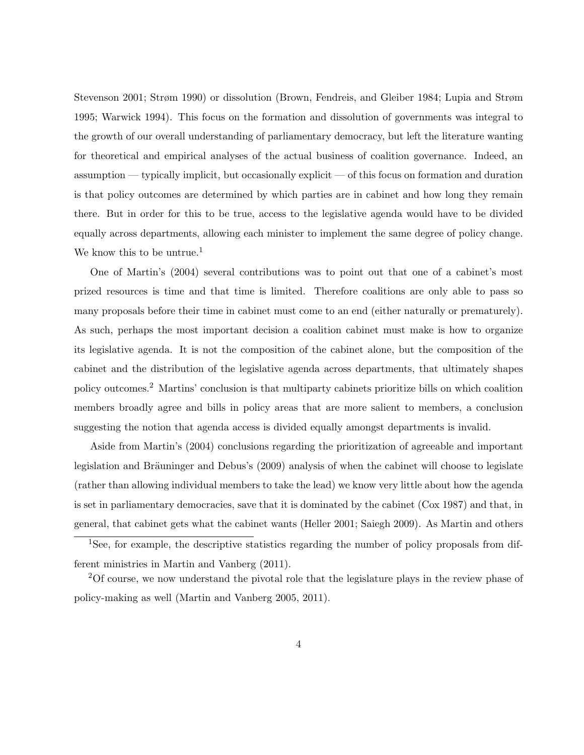Stevenson 2001; Strøm 1990) or dissolution (Brown, Fendreis, and Gleiber 1984; Lupia and Strøm 1995; Warwick 1994). This focus on the formation and dissolution of governments was integral to the growth of our overall understanding of parliamentary democracy, but left the literature wanting for theoretical and empirical analyses of the actual business of coalition governance. Indeed, an assumption — typically implicit, but occasionally explicit — of this focus on formation and duration is that policy outcomes are determined by which parties are in cabinet and how long they remain there. But in order for this to be true, access to the legislative agenda would have to be divided equally across departments, allowing each minister to implement the same degree of policy change. We know this to be untrue.<sup>[1](#page-3-0)</sup>

One of Martin's (2004) several contributions was to point out that one of a cabinet's most prized resources is time and that time is limited. Therefore coalitions are only able to pass so many proposals before their time in cabinet must come to an end (either naturally or prematurely). As such, perhaps the most important decision a coalition cabinet must make is how to organize its legislative agenda. It is not the composition of the cabinet alone, but the composition of the cabinet and the distribution of the legislative agenda across departments, that ultimately shapes policy outcomes.[2](#page-3-1) Martins' conclusion is that multiparty cabinets prioritize bills on which coalition members broadly agree and bills in policy areas that are more salient to members, a conclusion suggesting the notion that agenda access is divided equally amongst departments is invalid.

Aside from Martin's (2004) conclusions regarding the prioritization of agreeable and important legislation and Bräuninger and Debus's (2009) analysis of when the cabinet will choose to legislate (rather than allowing individual members to take the lead) we know very little about how the agenda is set in parliamentary democracies, save that it is dominated by the cabinet (Cox 1987) and that, in general, that cabinet gets what the cabinet wants (Heller 2001; Saiegh 2009). As Martin and others

<span id="page-3-0"></span><sup>&</sup>lt;sup>1</sup>See, for example, the descriptive statistics regarding the number of policy proposals from different ministries in Martin and Vanberg (2011).

<span id="page-3-1"></span><sup>2</sup>Of course, we now understand the pivotal role that the legislature plays in the review phase of policy-making as well (Martin and Vanberg 2005, 2011).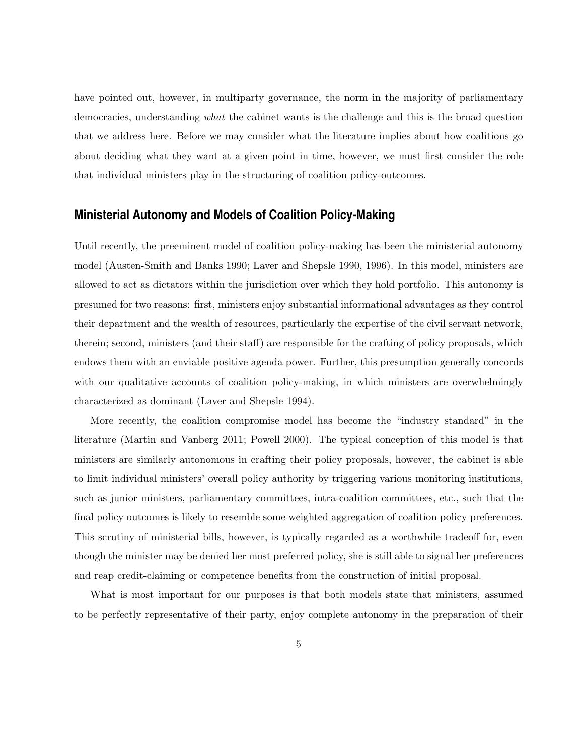have pointed out, however, in multiparty governance, the norm in the majority of parliamentary democracies, understanding what the cabinet wants is the challenge and this is the broad question that we address here. Before we may consider what the literature implies about how coalitions go about deciding what they want at a given point in time, however, we must first consider the role that individual ministers play in the structuring of coalition policy-outcomes.

## **Ministerial Autonomy and Models of Coalition Policy-Making**

Until recently, the preeminent model of coalition policy-making has been the ministerial autonomy model (Austen-Smith and Banks 1990; Laver and Shepsle 1990, 1996). In this model, ministers are allowed to act as dictators within the jurisdiction over which they hold portfolio. This autonomy is presumed for two reasons: first, ministers enjoy substantial informational advantages as they control their department and the wealth of resources, particularly the expertise of the civil servant network, therein; second, ministers (and their staff) are responsible for the crafting of policy proposals, which endows them with an enviable positive agenda power. Further, this presumption generally concords with our qualitative accounts of coalition policy-making, in which ministers are overwhelmingly characterized as dominant (Laver and Shepsle 1994).

More recently, the coalition compromise model has become the "industry standard" in the literature (Martin and Vanberg 2011; Powell 2000). The typical conception of this model is that ministers are similarly autonomous in crafting their policy proposals, however, the cabinet is able to limit individual ministers' overall policy authority by triggering various monitoring institutions, such as junior ministers, parliamentary committees, intra-coalition committees, etc., such that the final policy outcomes is likely to resemble some weighted aggregation of coalition policy preferences. This scrutiny of ministerial bills, however, is typically regarded as a worthwhile tradeoff for, even though the minister may be denied her most preferred policy, she is still able to signal her preferences and reap credit-claiming or competence benefits from the construction of initial proposal.

What is most important for our purposes is that both models state that ministers, assumed to be perfectly representative of their party, enjoy complete autonomy in the preparation of their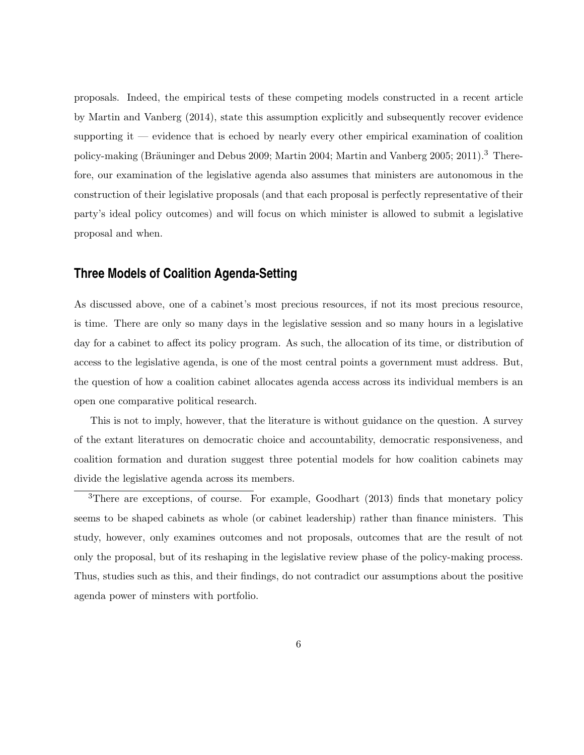proposals. Indeed, the empirical tests of these competing models constructed in a recent article by Martin and Vanberg (2014), state this assumption explicitly and subsequently recover evidence supporting it  $-$  evidence that is echoed by nearly every other empirical examination of coalition policy-making (Bräuninger and Debus 2009; Martin 2004; Martin and Vanberg 2005; 2011).<sup>[3](#page-5-0)</sup> Therefore, our examination of the legislative agenda also assumes that ministers are autonomous in the construction of their legislative proposals (and that each proposal is perfectly representative of their party's ideal policy outcomes) and will focus on which minister is allowed to submit a legislative proposal and when.

# **Three Models of Coalition Agenda-Setting**

As discussed above, one of a cabinet's most precious resources, if not its most precious resource, is time. There are only so many days in the legislative session and so many hours in a legislative day for a cabinet to affect its policy program. As such, the allocation of its time, or distribution of access to the legislative agenda, is one of the most central points a government must address. But, the question of how a coalition cabinet allocates agenda access across its individual members is an open one comparative political research.

This is not to imply, however, that the literature is without guidance on the question. A survey of the extant literatures on democratic choice and accountability, democratic responsiveness, and coalition formation and duration suggest three potential models for how coalition cabinets may divide the legislative agenda across its members.

<span id="page-5-0"></span><sup>3</sup>There are exceptions, of course. For example, Goodhart (2013) finds that monetary policy seems to be shaped cabinets as whole (or cabinet leadership) rather than finance ministers. This study, however, only examines outcomes and not proposals, outcomes that are the result of not only the proposal, but of its reshaping in the legislative review phase of the policy-making process. Thus, studies such as this, and their findings, do not contradict our assumptions about the positive agenda power of minsters with portfolio.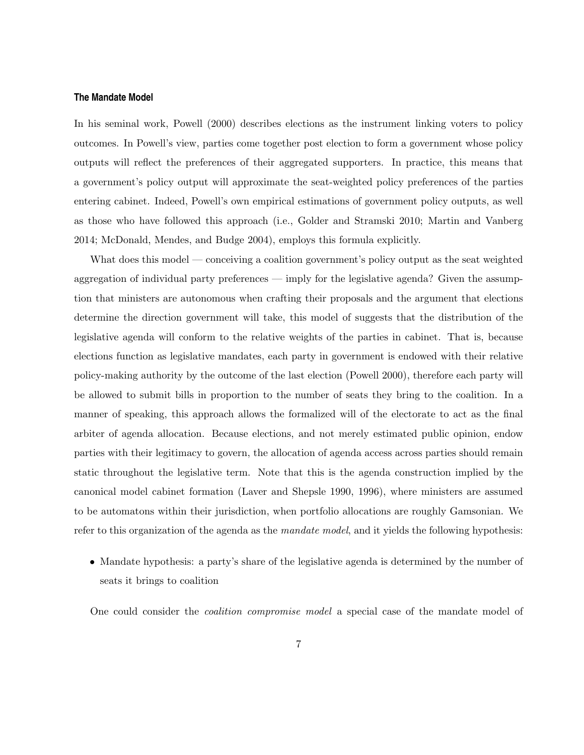#### **The Mandate Model**

In his seminal work, Powell (2000) describes elections as the instrument linking voters to policy outcomes. In Powell's view, parties come together post election to form a government whose policy outputs will reflect the preferences of their aggregated supporters. In practice, this means that a government's policy output will approximate the seat-weighted policy preferences of the parties entering cabinet. Indeed, Powell's own empirical estimations of government policy outputs, as well as those who have followed this approach (i.e., Golder and Stramski 2010; Martin and Vanberg 2014; McDonald, Mendes, and Budge 2004), employs this formula explicitly.

What does this model — conceiving a coalition government's policy output as the seat weighted aggregation of individual party preferences — imply for the legislative agenda? Given the assumption that ministers are autonomous when crafting their proposals and the argument that elections determine the direction government will take, this model of suggests that the distribution of the legislative agenda will conform to the relative weights of the parties in cabinet. That is, because elections function as legislative mandates, each party in government is endowed with their relative policy-making authority by the outcome of the last election (Powell 2000), therefore each party will be allowed to submit bills in proportion to the number of seats they bring to the coalition. In a manner of speaking, this approach allows the formalized will of the electorate to act as the final arbiter of agenda allocation. Because elections, and not merely estimated public opinion, endow parties with their legitimacy to govern, the allocation of agenda access across parties should remain static throughout the legislative term. Note that this is the agenda construction implied by the canonical model cabinet formation (Laver and Shepsle 1990, 1996), where ministers are assumed to be automatons within their jurisdiction, when portfolio allocations are roughly Gamsonian. We refer to this organization of the agenda as the *mandate model*, and it yields the following hypothesis:

• Mandate hypothesis: a party's share of the legislative agenda is determined by the number of seats it brings to coalition

One could consider the coalition compromise model a special case of the mandate model of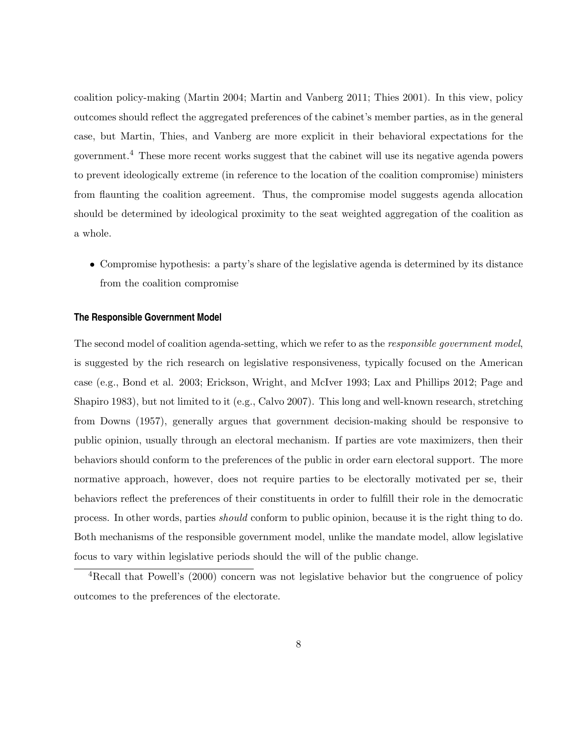coalition policy-making (Martin 2004; Martin and Vanberg 2011; Thies 2001). In this view, policy outcomes should reflect the aggregated preferences of the cabinet's member parties, as in the general case, but Martin, Thies, and Vanberg are more explicit in their behavioral expectations for the government.[4](#page-7-0) These more recent works suggest that the cabinet will use its negative agenda powers to prevent ideologically extreme (in reference to the location of the coalition compromise) ministers from flaunting the coalition agreement. Thus, the compromise model suggests agenda allocation should be determined by ideological proximity to the seat weighted aggregation of the coalition as a whole.

• Compromise hypothesis: a party's share of the legislative agenda is determined by its distance from the coalition compromise

#### **The Responsible Government Model**

The second model of coalition agenda-setting, which we refer to as the *responsible government model*, is suggested by the rich research on legislative responsiveness, typically focused on the American case (e.g., Bond et al. 2003; Erickson, Wright, and McIver 1993; Lax and Phillips 2012; Page and Shapiro 1983), but not limited to it (e.g., Calvo 2007). This long and well-known research, stretching from Downs (1957), generally argues that government decision-making should be responsive to public opinion, usually through an electoral mechanism. If parties are vote maximizers, then their behaviors should conform to the preferences of the public in order earn electoral support. The more normative approach, however, does not require parties to be electorally motivated per se, their behaviors reflect the preferences of their constituents in order to fulfill their role in the democratic process. In other words, parties should conform to public opinion, because it is the right thing to do. Both mechanisms of the responsible government model, unlike the mandate model, allow legislative focus to vary within legislative periods should the will of the public change.

<span id="page-7-0"></span><sup>&</sup>lt;sup>4</sup>Recall that Powell's (2000) concern was not legislative behavior but the congruence of policy outcomes to the preferences of the electorate.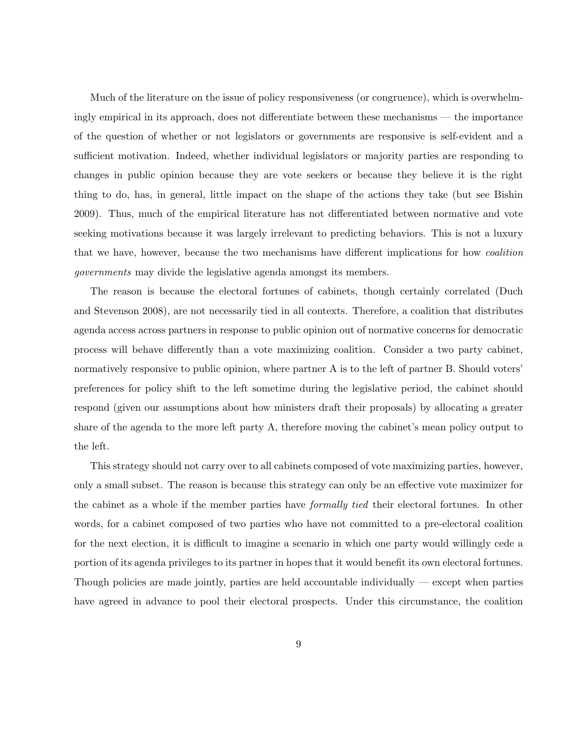Much of the literature on the issue of policy responsiveness (or congruence), which is overwhelmingly empirical in its approach, does not differentiate between these mechanisms — the importance of the question of whether or not legislators or governments are responsive is self-evident and a sufficient motivation. Indeed, whether individual legislators or majority parties are responding to changes in public opinion because they are vote seekers or because they believe it is the right thing to do, has, in general, little impact on the shape of the actions they take (but see Bishin 2009). Thus, much of the empirical literature has not differentiated between normative and vote seeking motivations because it was largely irrelevant to predicting behaviors. This is not a luxury that we have, however, because the two mechanisms have different implications for how coalition governments may divide the legislative agenda amongst its members.

The reason is because the electoral fortunes of cabinets, though certainly correlated (Duch and Stevenson 2008), are not necessarily tied in all contexts. Therefore, a coalition that distributes agenda access across partners in response to public opinion out of normative concerns for democratic process will behave differently than a vote maximizing coalition. Consider a two party cabinet, normatively responsive to public opinion, where partner A is to the left of partner B. Should voters' preferences for policy shift to the left sometime during the legislative period, the cabinet should respond (given our assumptions about how ministers draft their proposals) by allocating a greater share of the agenda to the more left party A, therefore moving the cabinet's mean policy output to the left.

This strategy should not carry over to all cabinets composed of vote maximizing parties, however, only a small subset. The reason is because this strategy can only be an effective vote maximizer for the cabinet as a whole if the member parties have formally tied their electoral fortunes. In other words, for a cabinet composed of two parties who have not committed to a pre-electoral coalition for the next election, it is difficult to imagine a scenario in which one party would willingly cede a portion of its agenda privileges to its partner in hopes that it would benefit its own electoral fortunes. Though policies are made jointly, parties are held accountable individually — except when parties have agreed in advance to pool their electoral prospects. Under this circumstance, the coalition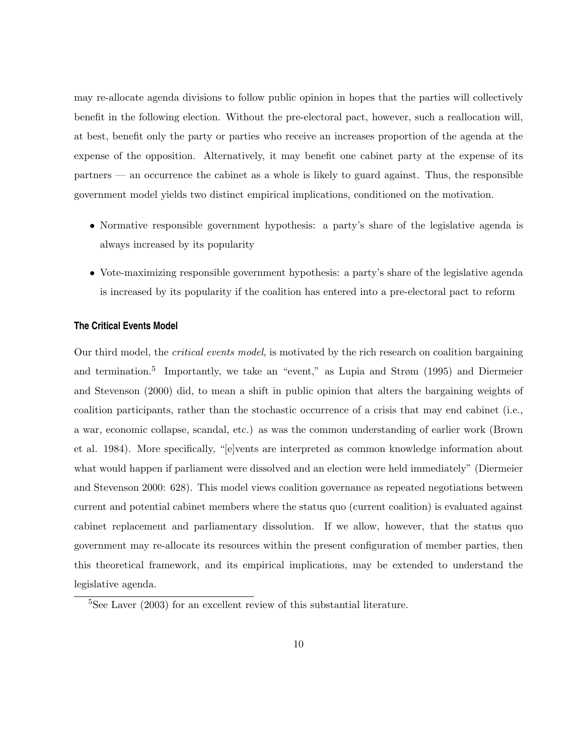may re-allocate agenda divisions to follow public opinion in hopes that the parties will collectively benefit in the following election. Without the pre-electoral pact, however, such a reallocation will, at best, benefit only the party or parties who receive an increases proportion of the agenda at the expense of the opposition. Alternatively, it may benefit one cabinet party at the expense of its  $\mathbf{p}$  partners — an occurrence the cabinet as a whole is likely to guard against. Thus, the responsible government model yields two distinct empirical implications, conditioned on the motivation.

- Normative responsible government hypothesis: a party's share of the legislative agenda is always increased by its popularity
- Vote-maximizing responsible government hypothesis: a party's share of the legislative agenda is increased by its popularity if the coalition has entered into a pre-electoral pact to reform

### **The Critical Events Model**

Our third model, the critical events model, is motivated by the rich research on coalition bargaining and termination.[5](#page-9-0) Importantly, we take an "event," as Lupia and Strøm (1995) and Diermeier and Stevenson (2000) did, to mean a shift in public opinion that alters the bargaining weights of coalition participants, rather than the stochastic occurrence of a crisis that may end cabinet (i.e., a war, economic collapse, scandal, etc.) as was the common understanding of earlier work (Brown et al. 1984). More specifically, "[e]vents are interpreted as common knowledge information about what would happen if parliament were dissolved and an election were held immediately" (Diermeier and Stevenson 2000: 628). This model views coalition governance as repeated negotiations between current and potential cabinet members where the status quo (current coalition) is evaluated against cabinet replacement and parliamentary dissolution. If we allow, however, that the status quo government may re-allocate its resources within the present configuration of member parties, then this theoretical framework, and its empirical implications, may be extended to understand the legislative agenda.

<span id="page-9-0"></span> ${}^{5}$ See Laver (2003) for an excellent review of this substantial literature.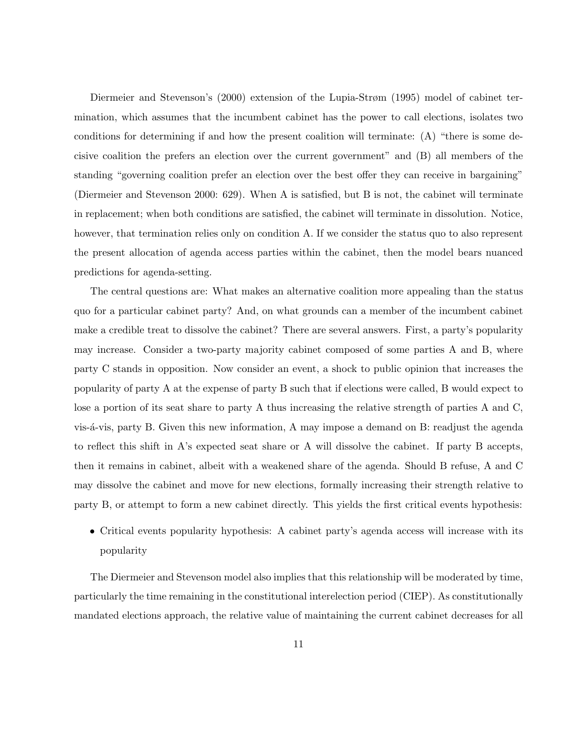Diermeier and Stevenson's (2000) extension of the Lupia-Strøm (1995) model of cabinet termination, which assumes that the incumbent cabinet has the power to call elections, isolates two conditions for determining if and how the present coalition will terminate: (A) "there is some decisive coalition the prefers an election over the current government" and (B) all members of the standing "governing coalition prefer an election over the best offer they can receive in bargaining" (Diermeier and Stevenson 2000: 629). When A is satisfied, but B is not, the cabinet will terminate in replacement; when both conditions are satisfied, the cabinet will terminate in dissolution. Notice, however, that termination relies only on condition A. If we consider the status quo to also represent the present allocation of agenda access parties within the cabinet, then the model bears nuanced predictions for agenda-setting.

The central questions are: What makes an alternative coalition more appealing than the status quo for a particular cabinet party? And, on what grounds can a member of the incumbent cabinet make a credible treat to dissolve the cabinet? There are several answers. First, a party's popularity may increase. Consider a two-party majority cabinet composed of some parties A and B, where party C stands in opposition. Now consider an event, a shock to public opinion that increases the popularity of party A at the expense of party B such that if elections were called, B would expect to lose a portion of its seat share to party A thus increasing the relative strength of parties A and C, vis-´a-vis, party B. Given this new information, A may impose a demand on B: readjust the agenda to reflect this shift in A's expected seat share or A will dissolve the cabinet. If party B accepts, then it remains in cabinet, albeit with a weakened share of the agenda. Should B refuse, A and C may dissolve the cabinet and move for new elections, formally increasing their strength relative to party B, or attempt to form a new cabinet directly. This yields the first critical events hypothesis:

• Critical events popularity hypothesis: A cabinet party's agenda access will increase with its popularity

The Diermeier and Stevenson model also implies that this relationship will be moderated by time, particularly the time remaining in the constitutional interelection period (CIEP). As constitutionally mandated elections approach, the relative value of maintaining the current cabinet decreases for all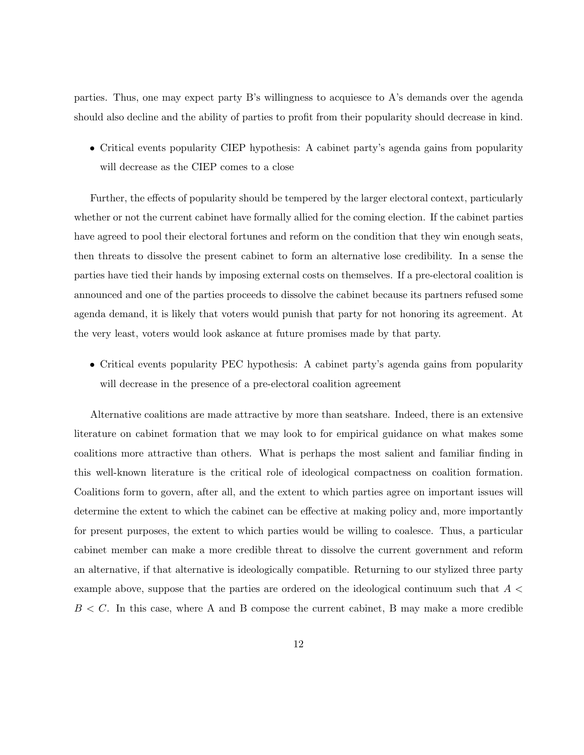parties. Thus, one may expect party B's willingness to acquiesce to A's demands over the agenda should also decline and the ability of parties to profit from their popularity should decrease in kind.

• Critical events popularity CIEP hypothesis: A cabinet party's agenda gains from popularity will decrease as the CIEP comes to a close

Further, the effects of popularity should be tempered by the larger electoral context, particularly whether or not the current cabinet have formally allied for the coming election. If the cabinet parties have agreed to pool their electoral fortunes and reform on the condition that they win enough seats, then threats to dissolve the present cabinet to form an alternative lose credibility. In a sense the parties have tied their hands by imposing external costs on themselves. If a pre-electoral coalition is announced and one of the parties proceeds to dissolve the cabinet because its partners refused some agenda demand, it is likely that voters would punish that party for not honoring its agreement. At the very least, voters would look askance at future promises made by that party.

• Critical events popularity PEC hypothesis: A cabinet party's agenda gains from popularity will decrease in the presence of a pre-electoral coalition agreement

Alternative coalitions are made attractive by more than seatshare. Indeed, there is an extensive literature on cabinet formation that we may look to for empirical guidance on what makes some coalitions more attractive than others. What is perhaps the most salient and familiar finding in this well-known literature is the critical role of ideological compactness on coalition formation. Coalitions form to govern, after all, and the extent to which parties agree on important issues will determine the extent to which the cabinet can be effective at making policy and, more importantly for present purposes, the extent to which parties would be willing to coalesce. Thus, a particular cabinet member can make a more credible threat to dissolve the current government and reform an alternative, if that alternative is ideologically compatible. Returning to our stylized three party example above, suppose that the parties are ordered on the ideological continuum such that  $A \leq$  $B < C$ . In this case, where A and B compose the current cabinet, B may make a more credible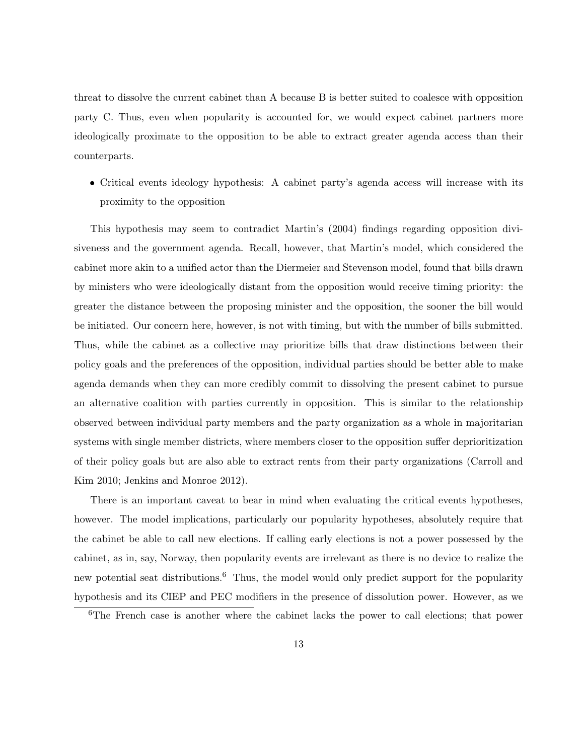threat to dissolve the current cabinet than A because B is better suited to coalesce with opposition party C. Thus, even when popularity is accounted for, we would expect cabinet partners more ideologically proximate to the opposition to be able to extract greater agenda access than their counterparts.

• Critical events ideology hypothesis: A cabinet party's agenda access will increase with its proximity to the opposition

This hypothesis may seem to contradict Martin's (2004) findings regarding opposition divisiveness and the government agenda. Recall, however, that Martin's model, which considered the cabinet more akin to a unified actor than the Diermeier and Stevenson model, found that bills drawn by ministers who were ideologically distant from the opposition would receive timing priority: the greater the distance between the proposing minister and the opposition, the sooner the bill would be initiated. Our concern here, however, is not with timing, but with the number of bills submitted. Thus, while the cabinet as a collective may prioritize bills that draw distinctions between their policy goals and the preferences of the opposition, individual parties should be better able to make agenda demands when they can more credibly commit to dissolving the present cabinet to pursue an alternative coalition with parties currently in opposition. This is similar to the relationship observed between individual party members and the party organization as a whole in majoritarian systems with single member districts, where members closer to the opposition suffer deprioritization of their policy goals but are also able to extract rents from their party organizations (Carroll and Kim 2010; Jenkins and Monroe 2012).

There is an important caveat to bear in mind when evaluating the critical events hypotheses, however. The model implications, particularly our popularity hypotheses, absolutely require that the cabinet be able to call new elections. If calling early elections is not a power possessed by the cabinet, as in, say, Norway, then popularity events are irrelevant as there is no device to realize the new potential seat distributions.<sup>[6](#page-12-0)</sup> Thus, the model would only predict support for the popularity hypothesis and its CIEP and PEC modifiers in the presence of dissolution power. However, as we

<span id="page-12-0"></span><sup>&</sup>lt;sup>6</sup>The French case is another where the cabinet lacks the power to call elections; that power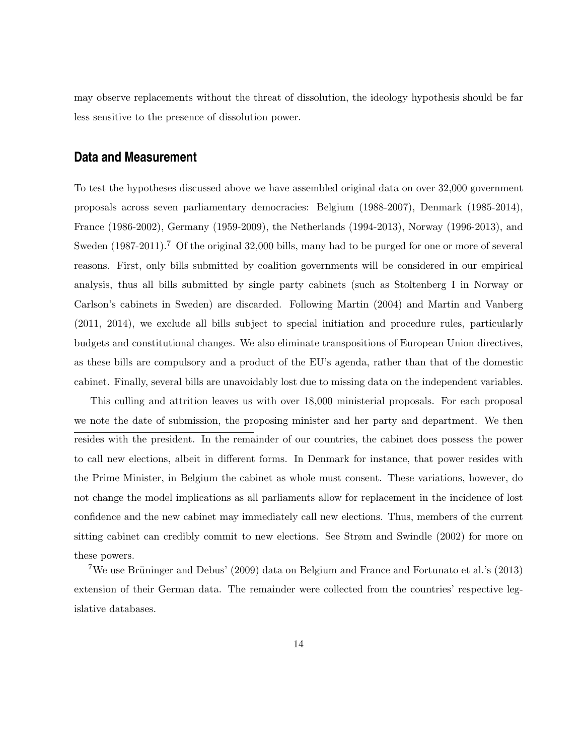may observe replacements without the threat of dissolution, the ideology hypothesis should be far less sensitive to the presence of dissolution power.

## **Data and Measurement**

To test the hypotheses discussed above we have assembled original data on over 32,000 government proposals across seven parliamentary democracies: Belgium (1988-2007), Denmark (1985-2014), France (1986-2002), Germany (1959-2009), the Netherlands (1994-2013), Norway (1996-2013), and Sweden  $(1987-2011).$  $(1987-2011).$  $(1987-2011).$ <sup>7</sup> Of the original 32,000 bills, many had to be purged for one or more of several reasons. First, only bills submitted by coalition governments will be considered in our empirical analysis, thus all bills submitted by single party cabinets (such as Stoltenberg I in Norway or Carlson's cabinets in Sweden) are discarded. Following Martin (2004) and Martin and Vanberg (2011, 2014), we exclude all bills subject to special initiation and procedure rules, particularly budgets and constitutional changes. We also eliminate transpositions of European Union directives, as these bills are compulsory and a product of the EU's agenda, rather than that of the domestic cabinet. Finally, several bills are unavoidably lost due to missing data on the independent variables.

This culling and attrition leaves us with over 18,000 ministerial proposals. For each proposal we note the date of submission, the proposing minister and her party and department. We then resides with the president. In the remainder of our countries, the cabinet does possess the power to call new elections, albeit in different forms. In Denmark for instance, that power resides with the Prime Minister, in Belgium the cabinet as whole must consent. These variations, however, do not change the model implications as all parliaments allow for replacement in the incidence of lost confidence and the new cabinet may immediately call new elections. Thus, members of the current sitting cabinet can credibly commit to new elections. See Strøm and Swindle (2002) for more on these powers.

<span id="page-13-0"></span><sup>7</sup>We use Brüninger and Debus' (2009) data on Belgium and France and Fortunato et al.'s (2013) extension of their German data. The remainder were collected from the countries' respective legislative databases.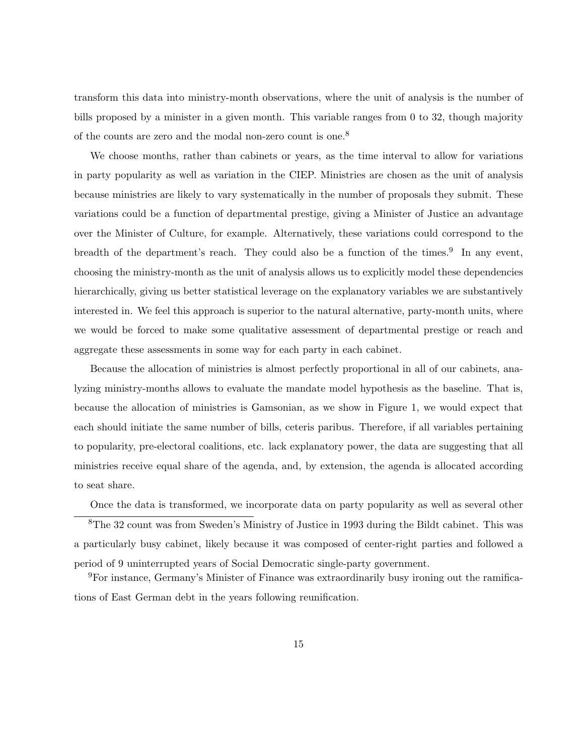transform this data into ministry-month observations, where the unit of analysis is the number of bills proposed by a minister in a given month. This variable ranges from 0 to 32, though majority of the counts are zero and the modal non-zero count is one.<sup>[8](#page-14-0)</sup>

We choose months, rather than cabinets or years, as the time interval to allow for variations in party popularity as well as variation in the CIEP. Ministries are chosen as the unit of analysis because ministries are likely to vary systematically in the number of proposals they submit. These variations could be a function of departmental prestige, giving a Minister of Justice an advantage over the Minister of Culture, for example. Alternatively, these variations could correspond to the breadth of the department's reach. They could also be a function of the times.<sup>[9](#page-14-1)</sup> In any event, choosing the ministry-month as the unit of analysis allows us to explicitly model these dependencies hierarchically, giving us better statistical leverage on the explanatory variables we are substantively interested in. We feel this approach is superior to the natural alternative, party-month units, where we would be forced to make some qualitative assessment of departmental prestige or reach and aggregate these assessments in some way for each party in each cabinet.

Because the allocation of ministries is almost perfectly proportional in all of our cabinets, analyzing ministry-months allows to evaluate the mandate model hypothesis as the baseline. That is, because the allocation of ministries is Gamsonian, as we show in Figure 1, we would expect that each should initiate the same number of bills, ceteris paribus. Therefore, if all variables pertaining to popularity, pre-electoral coalitions, etc. lack explanatory power, the data are suggesting that all ministries receive equal share of the agenda, and, by extension, the agenda is allocated according to seat share.

<span id="page-14-0"></span>Once the data is transformed, we incorporate data on party popularity as well as several other

<sup>8</sup>The 32 count was from Sweden's Ministry of Justice in 1993 during the Bildt cabinet. This was a particularly busy cabinet, likely because it was composed of center-right parties and followed a period of 9 uninterrupted years of Social Democratic single-party government.

<span id="page-14-1"></span><sup>9</sup>For instance, Germany's Minister of Finance was extraordinarily busy ironing out the ramifications of East German debt in the years following reunification.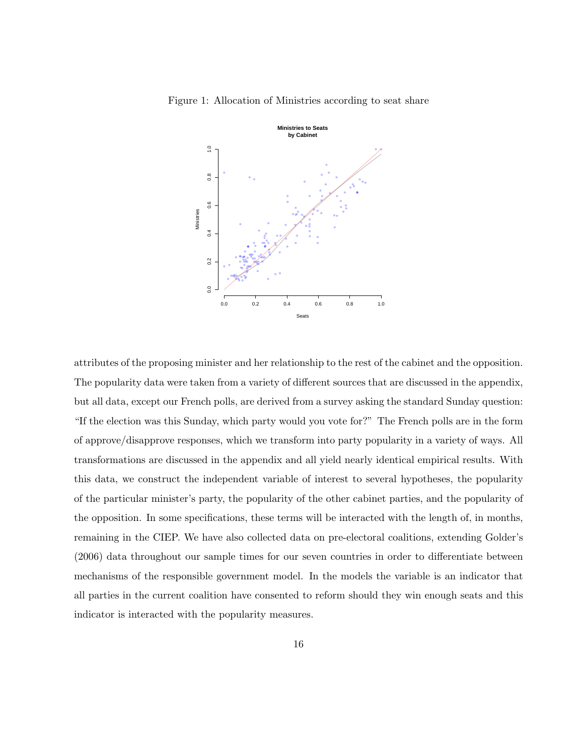

Figure 1: Allocation of Ministries according to seat share

attributes of the proposing minister and her relationship to the rest of the cabinet and the opposition. The popularity data were taken from a variety of different sources that are discussed in the appendix, but all data, except our French polls, are derived from a survey asking the standard Sunday question: "If the election was this Sunday, which party would you vote for?" The French polls are in the form of approve/disapprove responses, which we transform into party popularity in a variety of ways. All transformations are discussed in the appendix and all yield nearly identical empirical results. With this data, we construct the independent variable of interest to several hypotheses, the popularity of the particular minister's party, the popularity of the other cabinet parties, and the popularity of the opposition. In some specifications, these terms will be interacted with the length of, in months, remaining in the CIEP. We have also collected data on pre-electoral coalitions, extending Golder's (2006) data throughout our sample times for our seven countries in order to differentiate between mechanisms of the responsible government model. In the models the variable is an indicator that all parties in the current coalition have consented to reform should they win enough seats and this indicator is interacted with the popularity measures.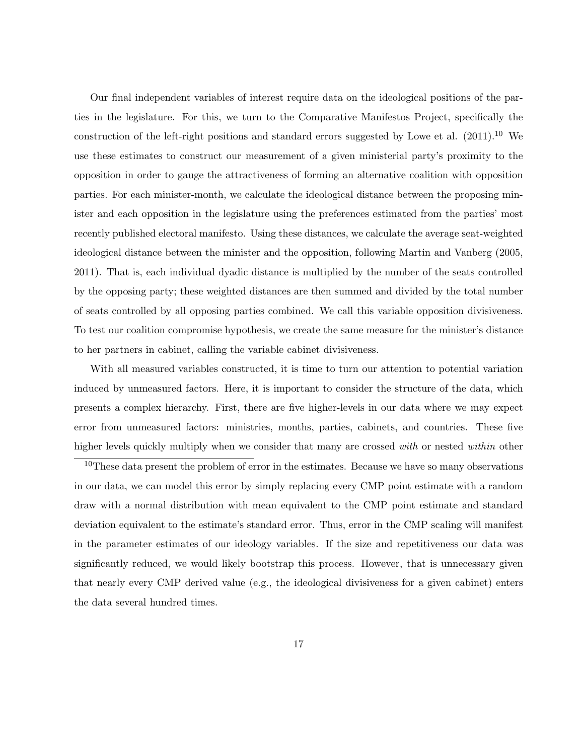Our final independent variables of interest require data on the ideological positions of the parties in the legislature. For this, we turn to the Comparative Manifestos Project, specifically the construction of the left-right positions and standard errors suggested by Lowe et al.  $(2011).^{10}$  $(2011).^{10}$  $(2011).^{10}$  We use these estimates to construct our measurement of a given ministerial party's proximity to the opposition in order to gauge the attractiveness of forming an alternative coalition with opposition parties. For each minister-month, we calculate the ideological distance between the proposing minister and each opposition in the legislature using the preferences estimated from the parties' most recently published electoral manifesto. Using these distances, we calculate the average seat-weighted ideological distance between the minister and the opposition, following Martin and Vanberg (2005, 2011). That is, each individual dyadic distance is multiplied by the number of the seats controlled by the opposing party; these weighted distances are then summed and divided by the total number of seats controlled by all opposing parties combined. We call this variable opposition divisiveness. To test our coalition compromise hypothesis, we create the same measure for the minister's distance to her partners in cabinet, calling the variable cabinet divisiveness.

With all measured variables constructed, it is time to turn our attention to potential variation induced by unmeasured factors. Here, it is important to consider the structure of the data, which presents a complex hierarchy. First, there are five higher-levels in our data where we may expect error from unmeasured factors: ministries, months, parties, cabinets, and countries. These five higher levels quickly multiply when we consider that many are crossed with or nested within other

<span id="page-16-0"></span> $10$ These data present the problem of error in the estimates. Because we have so many observations in our data, we can model this error by simply replacing every CMP point estimate with a random draw with a normal distribution with mean equivalent to the CMP point estimate and standard deviation equivalent to the estimate's standard error. Thus, error in the CMP scaling will manifest in the parameter estimates of our ideology variables. If the size and repetitiveness our data was significantly reduced, we would likely bootstrap this process. However, that is unnecessary given that nearly every CMP derived value (e.g., the ideological divisiveness for a given cabinet) enters the data several hundred times.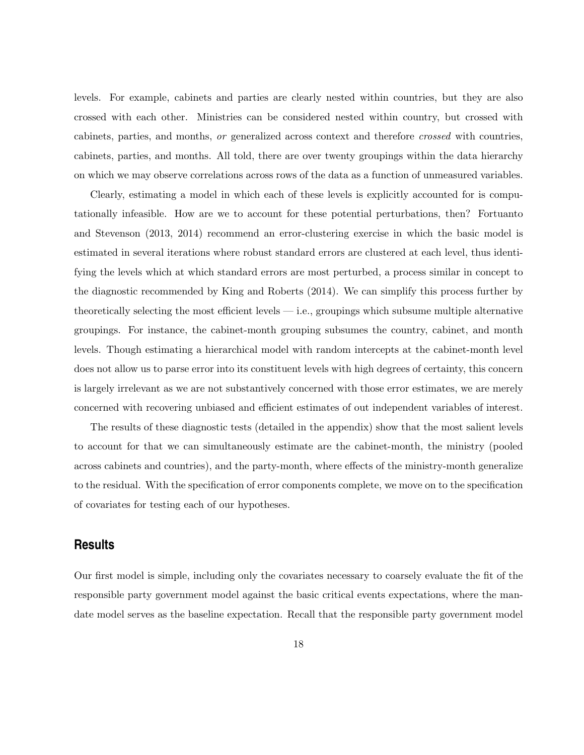levels. For example, cabinets and parties are clearly nested within countries, but they are also crossed with each other. Ministries can be considered nested within country, but crossed with cabinets, parties, and months, or generalized across context and therefore crossed with countries, cabinets, parties, and months. All told, there are over twenty groupings within the data hierarchy on which we may observe correlations across rows of the data as a function of unmeasured variables.

Clearly, estimating a model in which each of these levels is explicitly accounted for is computationally infeasible. How are we to account for these potential perturbations, then? Fortuanto and Stevenson (2013, 2014) recommend an error-clustering exercise in which the basic model is estimated in several iterations where robust standard errors are clustered at each level, thus identifying the levels which at which standard errors are most perturbed, a process similar in concept to the diagnostic recommended by King and Roberts (2014). We can simplify this process further by theoretically selecting the most efficient levels — i.e., groupings which subsume multiple alternative groupings. For instance, the cabinet-month grouping subsumes the country, cabinet, and month levels. Though estimating a hierarchical model with random intercepts at the cabinet-month level does not allow us to parse error into its constituent levels with high degrees of certainty, this concern is largely irrelevant as we are not substantively concerned with those error estimates, we are merely concerned with recovering unbiased and efficient estimates of out independent variables of interest.

The results of these diagnostic tests (detailed in the appendix) show that the most salient levels to account for that we can simultaneously estimate are the cabinet-month, the ministry (pooled across cabinets and countries), and the party-month, where effects of the ministry-month generalize to the residual. With the specification of error components complete, we move on to the specification of covariates for testing each of our hypotheses.

### **Results**

Our first model is simple, including only the covariates necessary to coarsely evaluate the fit of the responsible party government model against the basic critical events expectations, where the mandate model serves as the baseline expectation. Recall that the responsible party government model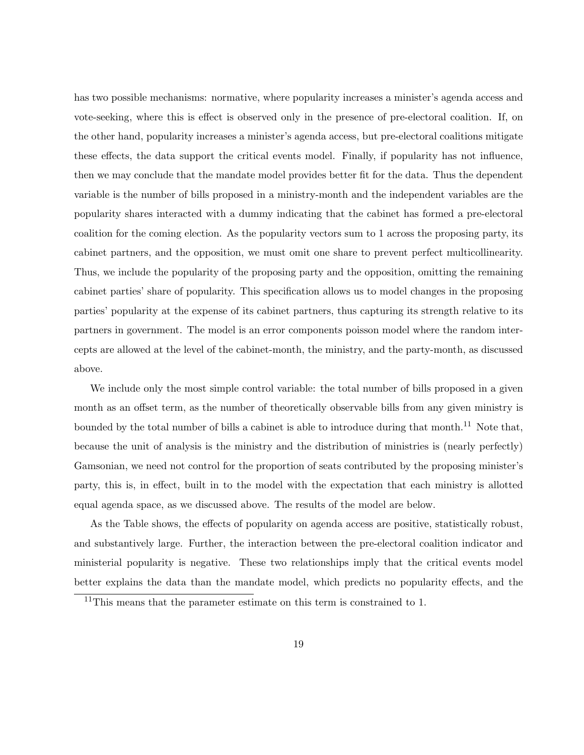has two possible mechanisms: normative, where popularity increases a minister's agenda access and vote-seeking, where this is effect is observed only in the presence of pre-electoral coalition. If, on the other hand, popularity increases a minister's agenda access, but pre-electoral coalitions mitigate these effects, the data support the critical events model. Finally, if popularity has not influence, then we may conclude that the mandate model provides better fit for the data. Thus the dependent variable is the number of bills proposed in a ministry-month and the independent variables are the popularity shares interacted with a dummy indicating that the cabinet has formed a pre-electoral coalition for the coming election. As the popularity vectors sum to 1 across the proposing party, its cabinet partners, and the opposition, we must omit one share to prevent perfect multicollinearity. Thus, we include the popularity of the proposing party and the opposition, omitting the remaining cabinet parties' share of popularity. This specification allows us to model changes in the proposing parties' popularity at the expense of its cabinet partners, thus capturing its strength relative to its partners in government. The model is an error components poisson model where the random intercepts are allowed at the level of the cabinet-month, the ministry, and the party-month, as discussed above.

We include only the most simple control variable: the total number of bills proposed in a given month as an offset term, as the number of theoretically observable bills from any given ministry is bounded by the total number of bills a cabinet is able to introduce during that month.<sup>[11](#page-18-0)</sup> Note that, because the unit of analysis is the ministry and the distribution of ministries is (nearly perfectly) Gamsonian, we need not control for the proportion of seats contributed by the proposing minister's party, this is, in effect, built in to the model with the expectation that each ministry is allotted equal agenda space, as we discussed above. The results of the model are below.

As the Table shows, the effects of popularity on agenda access are positive, statistically robust, and substantively large. Further, the interaction between the pre-electoral coalition indicator and ministerial popularity is negative. These two relationships imply that the critical events model better explains the data than the mandate model, which predicts no popularity effects, and the

<span id="page-18-0"></span><sup>&</sup>lt;sup>11</sup>This means that the parameter estimate on this term is constrained to 1.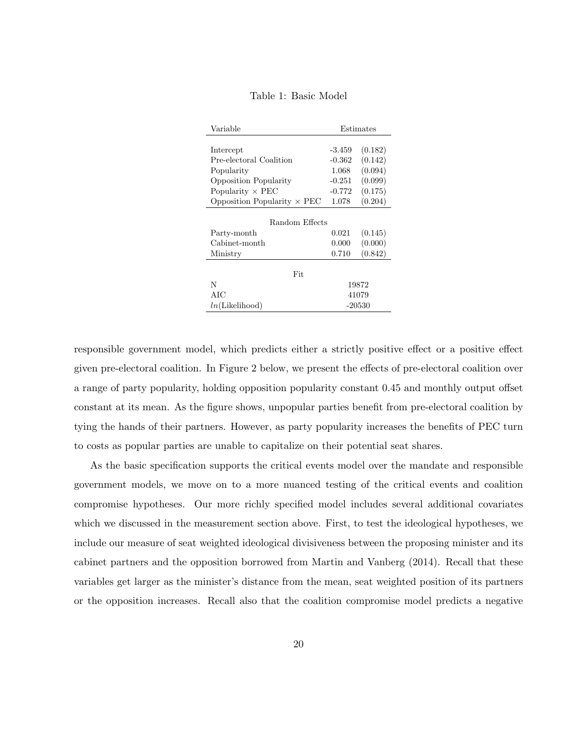| Table 1: Basic Model |  |  |  |
|----------------------|--|--|--|
|----------------------|--|--|--|

| Variable                           | Estimates |         |  |  |  |  |  |  |
|------------------------------------|-----------|---------|--|--|--|--|--|--|
|                                    |           |         |  |  |  |  |  |  |
| Intercept                          | -3.459    | (0.182) |  |  |  |  |  |  |
| Pre-electoral Coalition            | $-0.362$  | (0.142) |  |  |  |  |  |  |
| Popularity                         | 1.068     | (0.094) |  |  |  |  |  |  |
| Opposition Popularity              | $-0.251$  | (0.099) |  |  |  |  |  |  |
| Popularity $\times$ PEC            | $-0.772$  | (0.175) |  |  |  |  |  |  |
| Opposition Popularity $\times$ PEC | 1.078     | (0.204) |  |  |  |  |  |  |
|                                    |           |         |  |  |  |  |  |  |
| Random Effects                     |           |         |  |  |  |  |  |  |
| Party-month                        | 0.021     | (0.145) |  |  |  |  |  |  |
| Cabinet-month                      | 0.000     | (0.000) |  |  |  |  |  |  |
| Ministry                           | 0.710     | (0.842) |  |  |  |  |  |  |
|                                    |           |         |  |  |  |  |  |  |
| Fit                                |           |         |  |  |  |  |  |  |
| N                                  | 19872     |         |  |  |  |  |  |  |
| AIC                                | 41079     |         |  |  |  |  |  |  |
| ln(Likelihood)                     | $-20530$  |         |  |  |  |  |  |  |

responsible government model, which predicts either a strictly positive effect or a positive effect given pre-electoral coalition. In Figure 2 below, we present the effects of pre-electoral coalition over a range of party popularity, holding opposition popularity constant 0.45 and monthly output offset constant at its mean. As the figure shows, unpopular parties benefit from pre-electoral coalition by tying the hands of their partners. However, as party popularity increases the benefits of PEC turn to costs as popular parties are unable to capitalize on their potential seat shares.

As the basic specification supports the critical events model over the mandate and responsible government models, we move on to a more nuanced testing of the critical events and coalition compromise hypotheses. Our more richly specified model includes several additional covariates which we discussed in the measurement section above. First, to test the ideological hypotheses, we include our measure of seat weighted ideological divisiveness between the proposing minister and its cabinet partners and the opposition borrowed from Martin and Vanberg (2014). Recall that these variables get larger as the minister's distance from the mean, seat weighted position of its partners or the opposition increases. Recall also that the coalition compromise model predicts a negative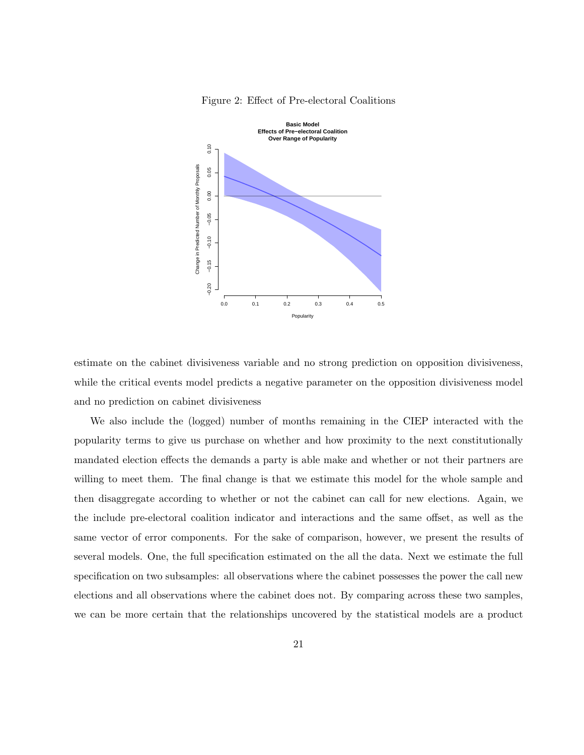

Figure 2: Effect of Pre-electoral Coalitions

estimate on the cabinet divisiveness variable and no strong prediction on opposition divisiveness, while the critical events model predicts a negative parameter on the opposition divisiveness model and no prediction on cabinet divisiveness

We also include the (logged) number of months remaining in the CIEP interacted with the popularity terms to give us purchase on whether and how proximity to the next constitutionally mandated election effects the demands a party is able make and whether or not their partners are willing to meet them. The final change is that we estimate this model for the whole sample and then disaggregate according to whether or not the cabinet can call for new elections. Again, we the include pre-electoral coalition indicator and interactions and the same offset, as well as the same vector of error components. For the sake of comparison, however, we present the results of several models. One, the full specification estimated on the all the data. Next we estimate the full specification on two subsamples: all observations where the cabinet possesses the power the call new elections and all observations where the cabinet does not. By comparing across these two samples, we can be more certain that the relationships uncovered by the statistical models are a product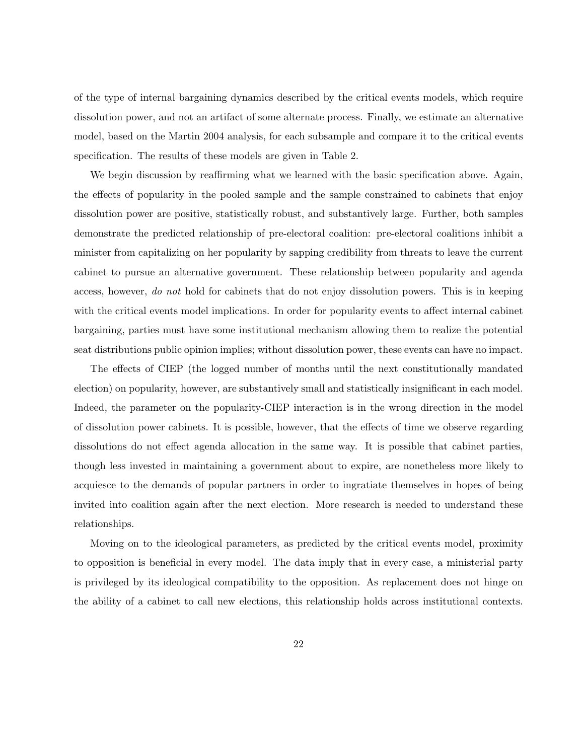of the type of internal bargaining dynamics described by the critical events models, which require dissolution power, and not an artifact of some alternate process. Finally, we estimate an alternative model, based on the Martin 2004 analysis, for each subsample and compare it to the critical events specification. The results of these models are given in Table 2.

We begin discussion by reaffirming what we learned with the basic specification above. Again, the effects of popularity in the pooled sample and the sample constrained to cabinets that enjoy dissolution power are positive, statistically robust, and substantively large. Further, both samples demonstrate the predicted relationship of pre-electoral coalition: pre-electoral coalitions inhibit a minister from capitalizing on her popularity by sapping credibility from threats to leave the current cabinet to pursue an alternative government. These relationship between popularity and agenda access, however, do not hold for cabinets that do not enjoy dissolution powers. This is in keeping with the critical events model implications. In order for popularity events to affect internal cabinet bargaining, parties must have some institutional mechanism allowing them to realize the potential seat distributions public opinion implies; without dissolution power, these events can have no impact.

The effects of CIEP (the logged number of months until the next constitutionally mandated election) on popularity, however, are substantively small and statistically insignificant in each model. Indeed, the parameter on the popularity-CIEP interaction is in the wrong direction in the model of dissolution power cabinets. It is possible, however, that the effects of time we observe regarding dissolutions do not effect agenda allocation in the same way. It is possible that cabinet parties, though less invested in maintaining a government about to expire, are nonetheless more likely to acquiesce to the demands of popular partners in order to ingratiate themselves in hopes of being invited into coalition again after the next election. More research is needed to understand these relationships.

Moving on to the ideological parameters, as predicted by the critical events model, proximity to opposition is beneficial in every model. The data imply that in every case, a ministerial party is privileged by its ideological compatibility to the opposition. As replacement does not hinge on the ability of a cabinet to call new elections, this relationship holds across institutional contexts.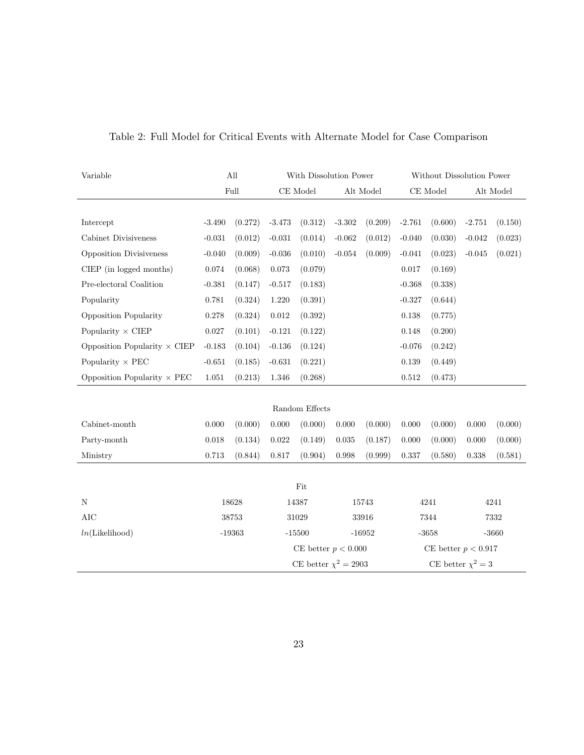| Variable                            |          | All                   | With Dissolution Power    |                |           |                       | Without Dissolution Power |         |           |         |  |
|-------------------------------------|----------|-----------------------|---------------------------|----------------|-----------|-----------------------|---------------------------|---------|-----------|---------|--|
|                                     | Full     |                       | $\!$ Model                |                | Alt Model |                       | $\rm CE$ Model            |         | Alt Model |         |  |
|                                     |          |                       |                           |                |           |                       |                           |         |           |         |  |
| Intercept                           | $-3.490$ | (0.272)               | $-3.473$                  | (0.312)        | $-3.302$  | (0.209)               | $-2.761$                  | (0.600) | $-2.751$  | (0.150) |  |
| Cabinet Divisiveness                | $-0.031$ | (0.012)               | $-0.031$                  | (0.014)        | $-0.062$  | (0.012)               | $-0.040$                  | (0.030) | $-0.042$  | (0.023) |  |
| <b>Opposition Divisiveness</b>      | $-0.040$ | (0.009)               | $-0.036$                  | (0.010)        | $-0.054$  | (0.009)               | $-0.041$                  | (0.023) | $-0.045$  | (0.021) |  |
| CIEP (in logged months)             | 0.074    | (0.068)               | $\,0.073\,$               | (0.079)        |           |                       | 0.017                     | (0.169) |           |         |  |
| Pre-electoral Coalition             | $-0.381$ | (0.147)               | $-0.517$                  | (0.183)        |           |                       | $-0.368$                  | (0.338) |           |         |  |
| Popularity                          | 0.781    | (0.324)               | 1.220                     | (0.391)        |           |                       | $-0.327$                  | (0.644) |           |         |  |
| Opposition Popularity               | 0.278    | (0.324)               | $\,0.012\,$               | (0.392)        |           |                       | 0.138                     | (0.775) |           |         |  |
| Popularity $\times$ CIEP            | 0.027    | (0.101)               | $-0.121$                  | (0.122)        |           |                       | 0.148                     | (0.200) |           |         |  |
| Opposition Popularity $\times$ CIEP | $-0.183$ | (0.104)               | $-0.136$                  | (0.124)        |           |                       | $-0.076$                  | (0.242) |           |         |  |
| Popularity $\times$ PEC             | $-0.651$ | (0.185)               | $-0.631$                  | (0.221)        |           |                       | 0.139                     | (0.449) |           |         |  |
| Opposition Popularity $\times$ PEC  | 1.051    | (0.213)               | 1.346                     | (0.268)        |           |                       | 0.512                     | (0.473) |           |         |  |
|                                     |          |                       |                           |                |           |                       |                           |         |           |         |  |
|                                     |          |                       |                           | Random Effects |           |                       |                           |         |           |         |  |
| Cabinet-month                       | 0.000    | (0.000)               | $0.000\,$                 | (0.000)        | 0.000     | (0.000)               | 0.000                     | (0.000) | 0.000     | (0.000) |  |
| Party-month                         | 0.018    | (0.134)               | 0.022                     | (0.149)        | 0.035     | (0.187)               | 0.000                     | (0.000) | 0.000     | (0.000) |  |
| Ministry                            | 0.713    | (0.844)               | 0.817                     | (0.904)        | 0.998     | (0.999)               | 0.337                     | (0.580) | 0.338     | (0.581) |  |
|                                     |          |                       |                           |                |           |                       |                           |         |           |         |  |
| Fit                                 |          |                       |                           |                |           |                       |                           |         |           |         |  |
| ${\rm N}$                           |          | 18628                 |                           | 14387          |           | 15743                 |                           | 4241    |           | 4241    |  |
| AIC                                 | 38753    |                       | 31029                     |                | 33916     |                       | 7344                      |         | 7332      |         |  |
| ln(Likelihood)                      | $-19363$ |                       | $-15500$                  |                | $-16952$  |                       | $-3658$                   |         | $-3660$   |         |  |
|                                     |          | CE better $p < 0.000$ |                           |                |           | CE better $p < 0.917$ |                           |         |           |         |  |
|                                     |          |                       | CE better $\chi^2 = 2903$ |                |           |                       | CE better $\chi^2 = 3$    |         |           |         |  |

### Table 2: Full Model for Critical Events with Alternate Model for Case Comparison